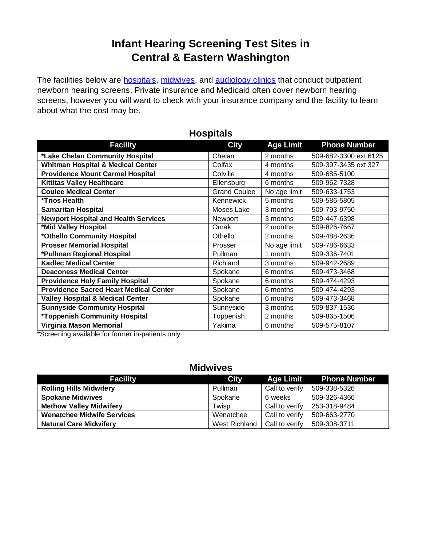# **Infant Hearing Screening Test Sites in Central & Eastern Washington**

The facilities below are **hospitals**, [midwives,](#page-0-1) and [audiology clinics](#page-0-2) that conduct outpatient newborn hearing screens. Private insurance and Medicaid often cover newborn hearing screens, however you will want to check with your insurance company and the facility to learn about what the cost may be.

<span id="page-0-0"></span>

| <b>Facility</b>                               | <b>City</b>         | <b>Age Limit</b> | <b>Phone Number</b>   |
|-----------------------------------------------|---------------------|------------------|-----------------------|
| *Lake Chelan Community Hospital               | Chelan              | 2 months         | 509-682-3300 ext 6125 |
| <b>Whitman Hospital &amp; Medical Center</b>  | Colfax              | 4 months         | 509-397-3435 ext 327  |
| <b>Providence Mount Carmel Hospital</b>       | Colville            | 4 months         | 509-685-5100          |
| <b>Kittitas Valley Healthcare</b>             | Ellensburg          | 6 months         | 509-962-7328          |
| <b>Coulee Medical Center</b>                  | <b>Grand Coulee</b> | No age limit     | 509-633-1753          |
| *Trios Health                                 | Kennewick           | 5 months         | 509-586-5805          |
| <b>Samaritan Hospital</b>                     | Moses Lake          | 3 months         | 509-793-9750          |
| <b>Newport Hospital and Health Services</b>   | Newport             | 3 months         | 509-447-6398          |
| *Mid Valley Hospital                          | Omak                | 2 months         | 509-826-7667          |
| *Othello Community Hospital                   | Othello             | 2 months         | 509-488-2636          |
| <b>Prosser Memorial Hospital</b>              | Prosser             | No age limit     | 509-786-6633          |
| *Pullman Regional Hospital                    | Pullman             | 1 month          | 509-336-7401          |
| <b>Kadlec Medical Center</b>                  | Richland            | 3 months         | 509-942-2689          |
| <b>Deaconess Medical Center</b>               | Spokane             | 6 months         | 509-473-3468          |
| <b>Providence Holy Family Hospital</b>        | Spokane             | 6 months         | 509-474-4293          |
| <b>Providence Sacred Heart Medical Center</b> | Spokane             | 6 months         | 509-474-4293          |
| <b>Valley Hospital &amp; Medical Center</b>   | Spokane             | 6 months         | 509-473-3468          |
| <b>Sunnyside Community Hospital</b>           | Sunnyside           | 3 months         | 509-837-1536          |
| *Toppenish Community Hospital                 | Toppenish           | 2 months         | 509-865-1506          |
| Virginia Mason Memorial                       | Yakima              | 6 months         | 509-575-8107          |

### **Hospitals**

<span id="page-0-1"></span>\*Screening available for former in-patients only

### **Midwives**

<span id="page-0-2"></span>

| <b>Facility</b>                   | <b>City</b>   | Age Limit      | <b>Phone Number</b> |
|-----------------------------------|---------------|----------------|---------------------|
| <b>Rolling Hills Midwifery</b>    | Pullman       | Call to verify | 509-338-5326        |
| <b>Spokane Midwives</b>           | Spokane       | 6 weeks        | 509-326-4366        |
| <b>Methow Valley Midwifery</b>    | Twisp         | Call to verify | 253-318-9484        |
| <b>Wenatchee Midwife Services</b> | Wenatchee     | Call to verify | 509-663-2770        |
| <b>Natural Care Midwifery</b>     | West Richland | Call to verify | 509-308-3711        |